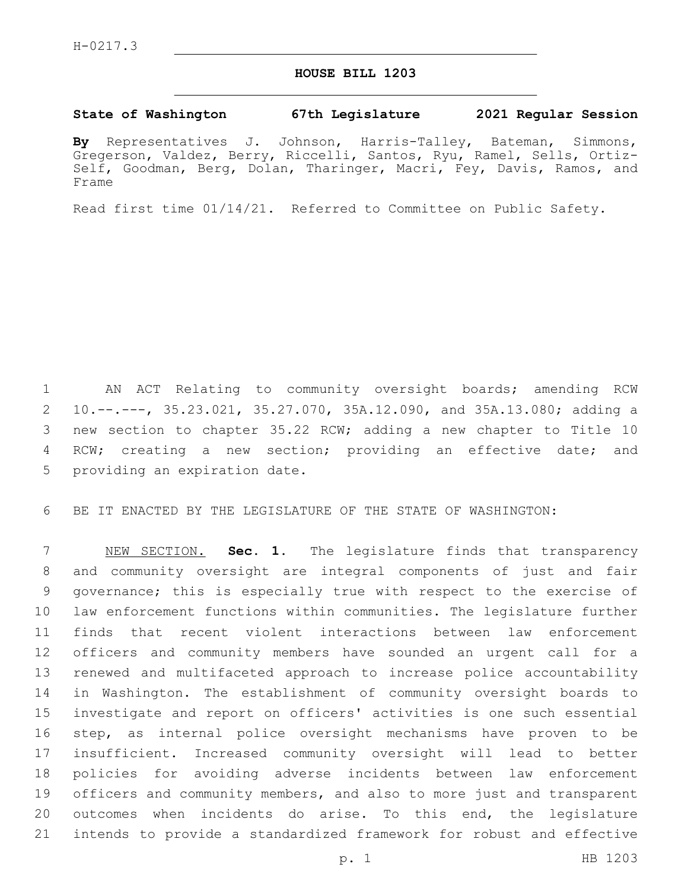## **HOUSE BILL 1203**

## **State of Washington 67th Legislature 2021 Regular Session**

**By** Representatives J. Johnson, Harris-Talley, Bateman, Simmons, Gregerson, Valdez, Berry, Riccelli, Santos, Ryu, Ramel, Sells, Ortiz-Self, Goodman, Berg, Dolan, Tharinger, Macri, Fey, Davis, Ramos, and Frame

Read first time 01/14/21. Referred to Committee on Public Safety.

 AN ACT Relating to community oversight boards; amending RCW 10.--.---, 35.23.021, 35.27.070, 35A.12.090, and 35A.13.080; adding a new section to chapter 35.22 RCW; adding a new chapter to Title 10 RCW; creating a new section; providing an effective date; and 5 providing an expiration date.

BE IT ENACTED BY THE LEGISLATURE OF THE STATE OF WASHINGTON:

 NEW SECTION. **Sec. 1.** The legislature finds that transparency and community oversight are integral components of just and fair governance; this is especially true with respect to the exercise of law enforcement functions within communities. The legislature further finds that recent violent interactions between law enforcement officers and community members have sounded an urgent call for a renewed and multifaceted approach to increase police accountability in Washington. The establishment of community oversight boards to investigate and report on officers' activities is one such essential step, as internal police oversight mechanisms have proven to be insufficient. Increased community oversight will lead to better policies for avoiding adverse incidents between law enforcement 19 officers and community members, and also to more just and transparent outcomes when incidents do arise. To this end, the legislature intends to provide a standardized framework for robust and effective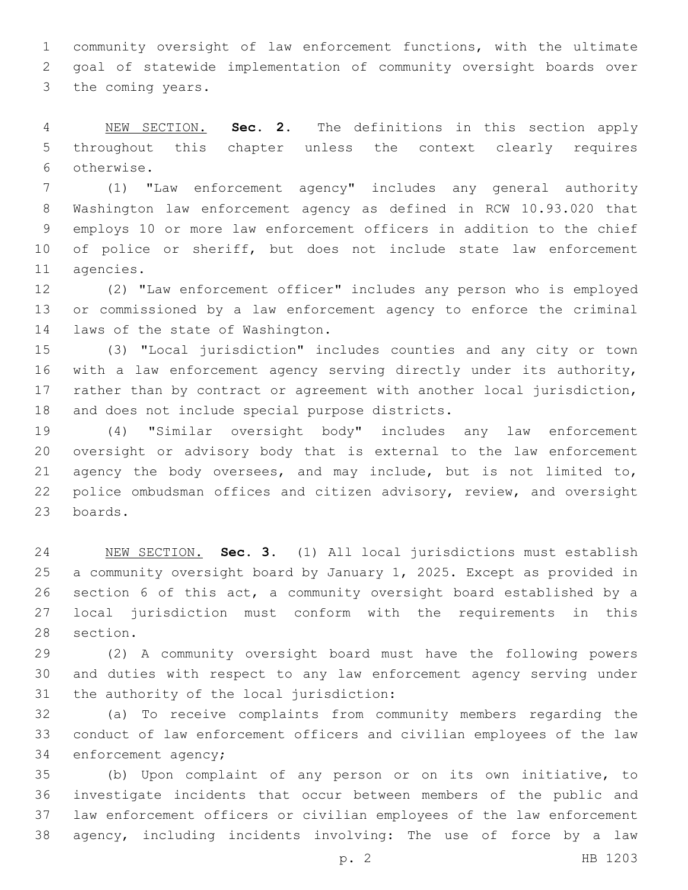community oversight of law enforcement functions, with the ultimate goal of statewide implementation of community oversight boards over 3 the coming years.

 NEW SECTION. **Sec. 2.** The definitions in this section apply throughout this chapter unless the context clearly requires otherwise.

 (1) "Law enforcement agency" includes any general authority Washington law enforcement agency as defined in RCW 10.93.020 that employs 10 or more law enforcement officers in addition to the chief of police or sheriff, but does not include state law enforcement 11 agencies.

 (2) "Law enforcement officer" includes any person who is employed or commissioned by a law enforcement agency to enforce the criminal 14 laws of the state of Washington.

 (3) "Local jurisdiction" includes counties and any city or town with a law enforcement agency serving directly under its authority, rather than by contract or agreement with another local jurisdiction, 18 and does not include special purpose districts.

 (4) "Similar oversight body" includes any law enforcement oversight or advisory body that is external to the law enforcement agency the body oversees, and may include, but is not limited to, police ombudsman offices and citizen advisory, review, and oversight 23 boards.

 NEW SECTION. **Sec. 3.** (1) All local jurisdictions must establish a community oversight board by January 1, 2025. Except as provided in section 6 of this act, a community oversight board established by a local jurisdiction must conform with the requirements in this section.

 (2) A community oversight board must have the following powers and duties with respect to any law enforcement agency serving under 31 the authority of the local jurisdiction:

 (a) To receive complaints from community members regarding the conduct of law enforcement officers and civilian employees of the law 34 enforcement agency;

 (b) Upon complaint of any person or on its own initiative, to investigate incidents that occur between members of the public and law enforcement officers or civilian employees of the law enforcement agency, including incidents involving: The use of force by a law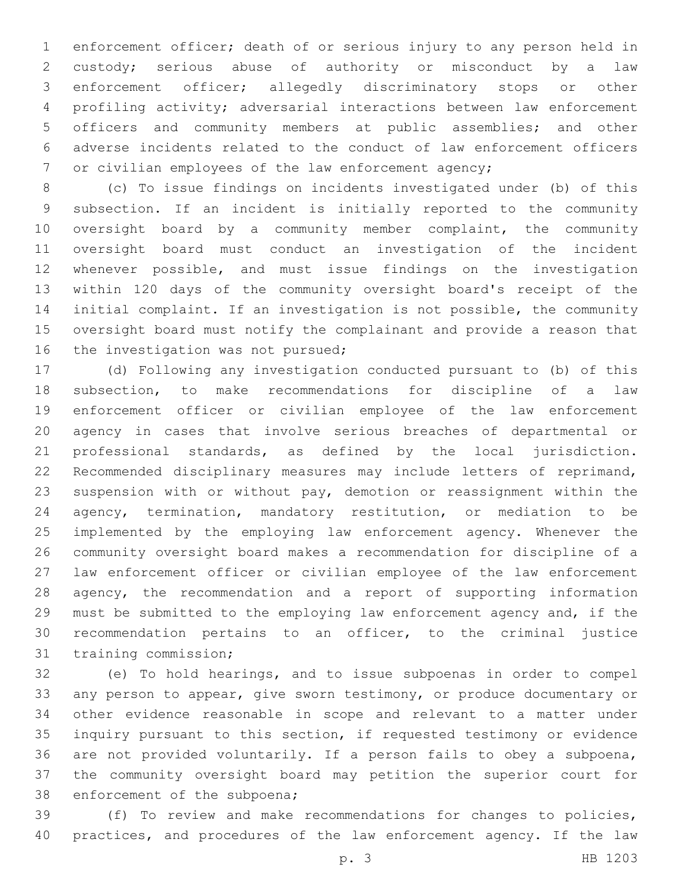enforcement officer; death of or serious injury to any person held in custody; serious abuse of authority or misconduct by a law enforcement officer; allegedly discriminatory stops or other profiling activity; adversarial interactions between law enforcement officers and community members at public assemblies; and other adverse incidents related to the conduct of law enforcement officers or civilian employees of the law enforcement agency;

 (c) To issue findings on incidents investigated under (b) of this subsection. If an incident is initially reported to the community 10 oversight board by a community member complaint, the community oversight board must conduct an investigation of the incident whenever possible, and must issue findings on the investigation within 120 days of the community oversight board's receipt of the initial complaint. If an investigation is not possible, the community oversight board must notify the complainant and provide a reason that 16 the investigation was not pursued;

 (d) Following any investigation conducted pursuant to (b) of this subsection, to make recommendations for discipline of a law enforcement officer or civilian employee of the law enforcement agency in cases that involve serious breaches of departmental or professional standards, as defined by the local jurisdiction. Recommended disciplinary measures may include letters of reprimand, suspension with or without pay, demotion or reassignment within the agency, termination, mandatory restitution, or mediation to be implemented by the employing law enforcement agency. Whenever the community oversight board makes a recommendation for discipline of a law enforcement officer or civilian employee of the law enforcement agency, the recommendation and a report of supporting information must be submitted to the employing law enforcement agency and, if the recommendation pertains to an officer, to the criminal justice 31 training commission;

 (e) To hold hearings, and to issue subpoenas in order to compel any person to appear, give sworn testimony, or produce documentary or other evidence reasonable in scope and relevant to a matter under inquiry pursuant to this section, if requested testimony or evidence are not provided voluntarily. If a person fails to obey a subpoena, the community oversight board may petition the superior court for 38 enforcement of the subpoena;

 (f) To review and make recommendations for changes to policies, practices, and procedures of the law enforcement agency. If the law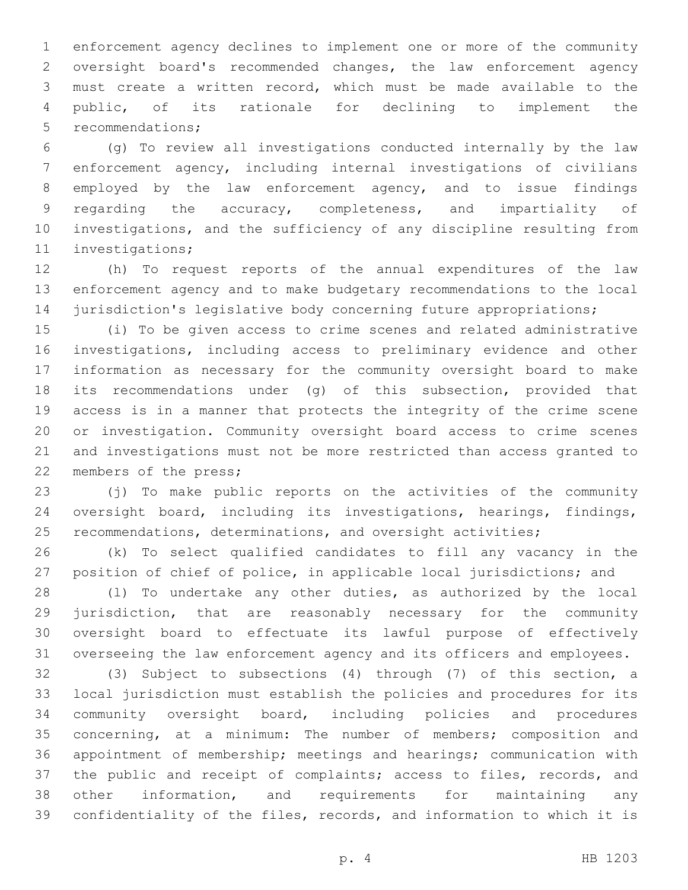enforcement agency declines to implement one or more of the community oversight board's recommended changes, the law enforcement agency must create a written record, which must be made available to the public, of its rationale for declining to implement the 5 recommendations;

 (g) To review all investigations conducted internally by the law enforcement agency, including internal investigations of civilians employed by the law enforcement agency, and to issue findings regarding the accuracy, completeness, and impartiality of investigations, and the sufficiency of any discipline resulting from 11 investigations;

 (h) To request reports of the annual expenditures of the law enforcement agency and to make budgetary recommendations to the local 14 jurisdiction's legislative body concerning future appropriations;

 (i) To be given access to crime scenes and related administrative investigations, including access to preliminary evidence and other information as necessary for the community oversight board to make its recommendations under (g) of this subsection, provided that access is in a manner that protects the integrity of the crime scene or investigation. Community oversight board access to crime scenes and investigations must not be more restricted than access granted to 22 members of the press;

 (j) To make public reports on the activities of the community oversight board, including its investigations, hearings, findings, 25 recommendations, determinations, and oversight activities;

 (k) To select qualified candidates to fill any vacancy in the position of chief of police, in applicable local jurisdictions; and

 (l) To undertake any other duties, as authorized by the local jurisdiction, that are reasonably necessary for the community oversight board to effectuate its lawful purpose of effectively overseeing the law enforcement agency and its officers and employees.

 (3) Subject to subsections (4) through (7) of this section, a local jurisdiction must establish the policies and procedures for its community oversight board, including policies and procedures concerning, at a minimum: The number of members; composition and appointment of membership; meetings and hearings; communication with 37 the public and receipt of complaints; access to files, records, and other information, and requirements for maintaining any confidentiality of the files, records, and information to which it is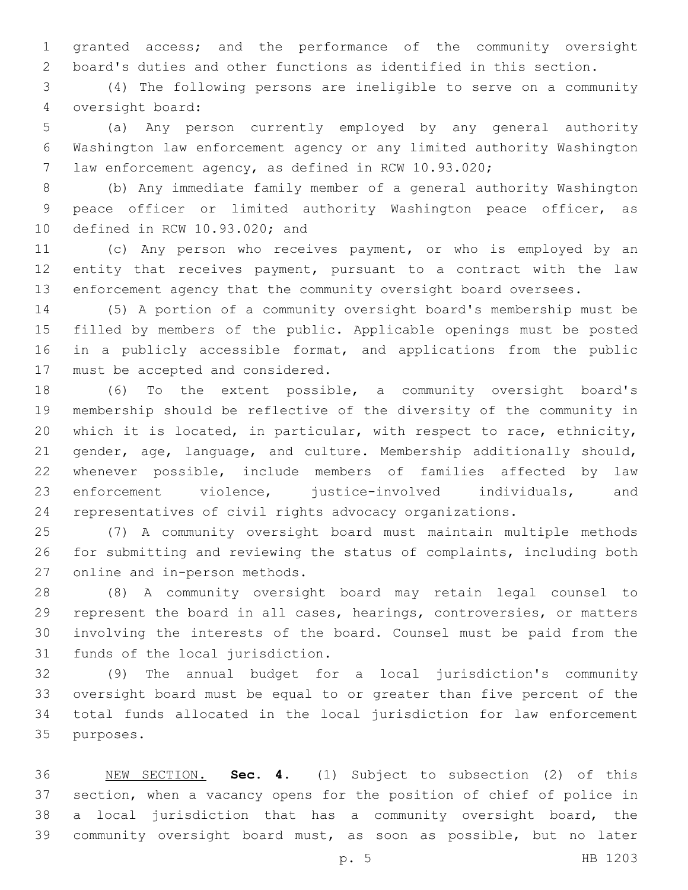granted access; and the performance of the community oversight board's duties and other functions as identified in this section.

 (4) The following persons are ineligible to serve on a community oversight board:4

 (a) Any person currently employed by any general authority Washington law enforcement agency or any limited authority Washington law enforcement agency, as defined in RCW 10.93.020;

 (b) Any immediate family member of a general authority Washington peace officer or limited authority Washington peace officer, as 10 defined in RCW 10.93.020; and

 (c) Any person who receives payment, or who is employed by an entity that receives payment, pursuant to a contract with the law enforcement agency that the community oversight board oversees.

 (5) A portion of a community oversight board's membership must be filled by members of the public. Applicable openings must be posted 16 in a publicly accessible format, and applications from the public 17 must be accepted and considered.

 (6) To the extent possible, a community oversight board's membership should be reflective of the diversity of the community in which it is located, in particular, with respect to race, ethnicity, gender, age, language, and culture. Membership additionally should, whenever possible, include members of families affected by law enforcement violence, justice-involved individuals, and representatives of civil rights advocacy organizations.

 (7) A community oversight board must maintain multiple methods for submitting and reviewing the status of complaints, including both 27 online and in-person methods.

 (8) A community oversight board may retain legal counsel to represent the board in all cases, hearings, controversies, or matters involving the interests of the board. Counsel must be paid from the 31 funds of the local jurisdiction.

 (9) The annual budget for a local jurisdiction's community oversight board must be equal to or greater than five percent of the total funds allocated in the local jurisdiction for law enforcement 35 purposes.

 NEW SECTION. **Sec. 4.** (1) Subject to subsection (2) of this section, when a vacancy opens for the position of chief of police in a local jurisdiction that has a community oversight board, the community oversight board must, as soon as possible, but no later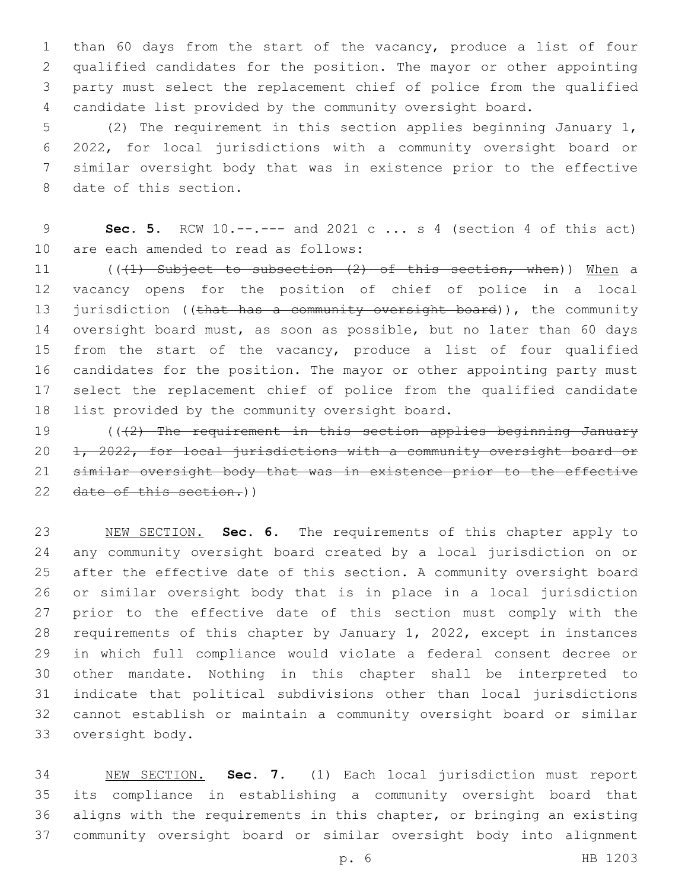than 60 days from the start of the vacancy, produce a list of four qualified candidates for the position. The mayor or other appointing party must select the replacement chief of police from the qualified candidate list provided by the community oversight board.

 (2) The requirement in this section applies beginning January 1, 2022, for local jurisdictions with a community oversight board or similar oversight body that was in existence prior to the effective 8 date of this section.

 **Sec. 5.** RCW 10.--.--- and 2021 c ... s 4 (section 4 of this act) 10 are each amended to read as follows:

11 (((1) Subject to subsection (2) of this section, when)) When a vacancy opens for the position of chief of police in a local 13 jurisdiction ((that has a community oversight board)), the community oversight board must, as soon as possible, but no later than 60 days 15 from the start of the vacancy, produce a list of four qualified candidates for the position. The mayor or other appointing party must select the replacement chief of police from the qualified candidate 18 list provided by the community oversight board.

 (((2) The requirement in this section applies beginning January 1, 2022, for local jurisdictions with a community oversight board or similar oversight body that was in existence prior to the effective 22 date of this section.))

 NEW SECTION. **Sec. 6.** The requirements of this chapter apply to any community oversight board created by a local jurisdiction on or after the effective date of this section. A community oversight board or similar oversight body that is in place in a local jurisdiction prior to the effective date of this section must comply with the requirements of this chapter by January 1, 2022, except in instances in which full compliance would violate a federal consent decree or other mandate. Nothing in this chapter shall be interpreted to indicate that political subdivisions other than local jurisdictions cannot establish or maintain a community oversight board or similar oversight body.

 NEW SECTION. **Sec. 7.** (1) Each local jurisdiction must report its compliance in establishing a community oversight board that aligns with the requirements in this chapter, or bringing an existing community oversight board or similar oversight body into alignment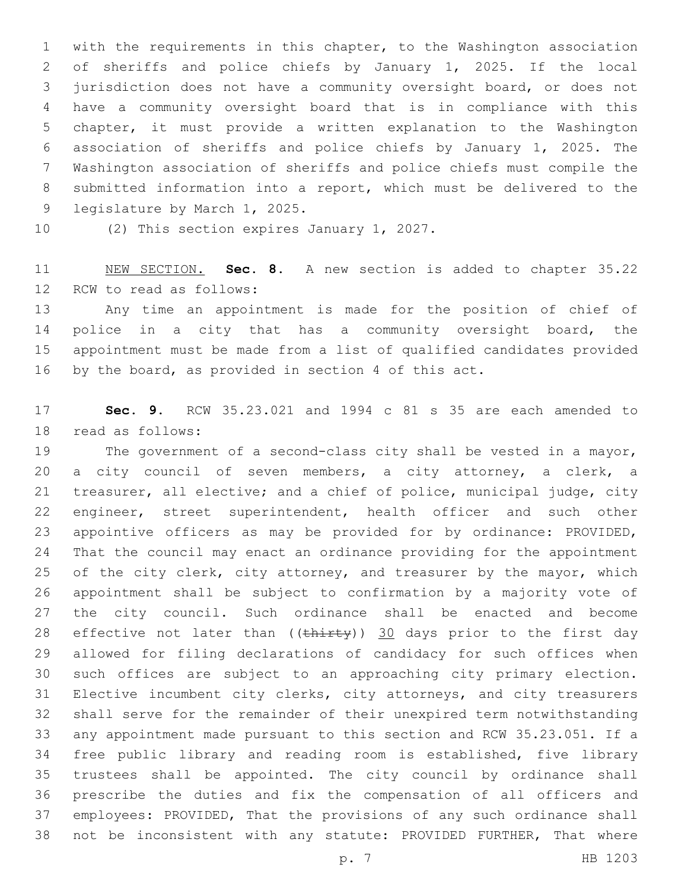with the requirements in this chapter, to the Washington association of sheriffs and police chiefs by January 1, 2025. If the local jurisdiction does not have a community oversight board, or does not have a community oversight board that is in compliance with this chapter, it must provide a written explanation to the Washington association of sheriffs and police chiefs by January 1, 2025. The Washington association of sheriffs and police chiefs must compile the submitted information into a report, which must be delivered to the 9 legislature by March 1, 2025.

10 (2) This section expires January 1, 2027.

 NEW SECTION. **Sec. 8.** A new section is added to chapter 35.22 12 RCW to read as follows:

 Any time an appointment is made for the position of chief of police in a city that has a community oversight board, the appointment must be made from a list of qualified candidates provided by the board, as provided in section 4 of this act.

 **Sec. 9.** RCW 35.23.021 and 1994 c 81 s 35 are each amended to 18 read as follows:

 The government of a second-class city shall be vested in a mayor, a city council of seven members, a city attorney, a clerk, a treasurer, all elective; and a chief of police, municipal judge, city engineer, street superintendent, health officer and such other appointive officers as may be provided for by ordinance: PROVIDED, That the council may enact an ordinance providing for the appointment 25 of the city clerk, city attorney, and treasurer by the mayor, which appointment shall be subject to confirmation by a majority vote of the city council. Such ordinance shall be enacted and become 28 effective not later than  $((\text{thirty}))$  30 days prior to the first day allowed for filing declarations of candidacy for such offices when such offices are subject to an approaching city primary election. Elective incumbent city clerks, city attorneys, and city treasurers shall serve for the remainder of their unexpired term notwithstanding any appointment made pursuant to this section and RCW 35.23.051. If a free public library and reading room is established, five library trustees shall be appointed. The city council by ordinance shall prescribe the duties and fix the compensation of all officers and employees: PROVIDED, That the provisions of any such ordinance shall not be inconsistent with any statute: PROVIDED FURTHER, That where

p. 7 HB 1203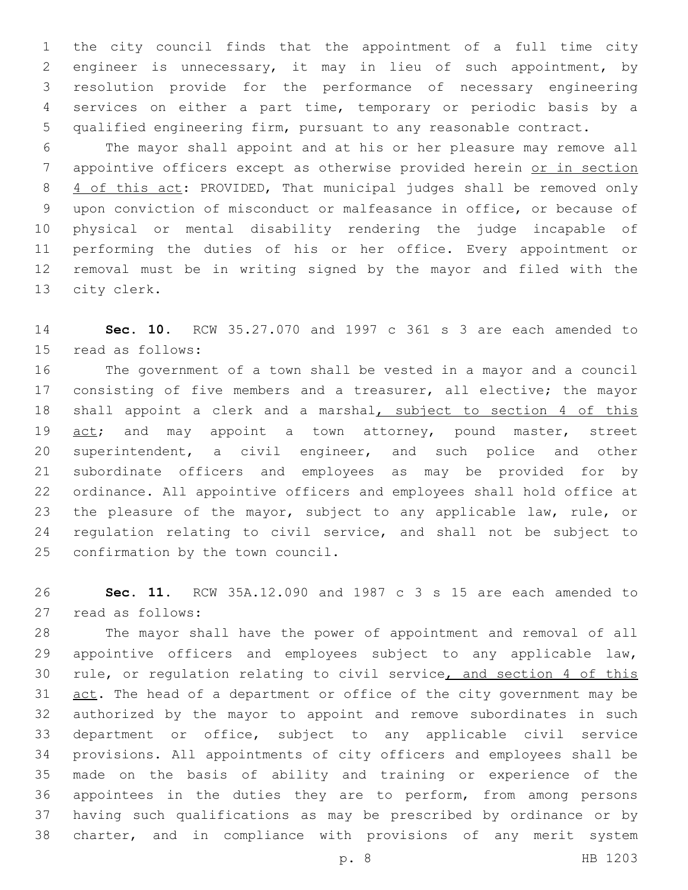the city council finds that the appointment of a full time city engineer is unnecessary, it may in lieu of such appointment, by resolution provide for the performance of necessary engineering services on either a part time, temporary or periodic basis by a qualified engineering firm, pursuant to any reasonable contract.

 The mayor shall appoint and at his or her pleasure may remove all appointive officers except as otherwise provided herein or in section 8 4 of this act: PROVIDED, That municipal judges shall be removed only upon conviction of misconduct or malfeasance in office, or because of physical or mental disability rendering the judge incapable of performing the duties of his or her office. Every appointment or removal must be in writing signed by the mayor and filed with the 13 city clerk.

 **Sec. 10.** RCW 35.27.070 and 1997 c 361 s 3 are each amended to 15 read as follows:

 The government of a town shall be vested in a mayor and a council 17 consisting of five members and a treasurer, all elective; the mayor 18 shall appoint a clerk and a marshal, subject to section 4 of this 19 act; and may appoint a town attorney, pound master, street superintendent, a civil engineer, and such police and other subordinate officers and employees as may be provided for by ordinance. All appointive officers and employees shall hold office at the pleasure of the mayor, subject to any applicable law, rule, or regulation relating to civil service, and shall not be subject to 25 confirmation by the town council.

 **Sec. 11.** RCW 35A.12.090 and 1987 c 3 s 15 are each amended to read as follows:27

 The mayor shall have the power of appointment and removal of all 29 appointive officers and employees subject to any applicable law, rule, or regulation relating to civil service, and section 4 of this 31 act. The head of a department or office of the city government may be authorized by the mayor to appoint and remove subordinates in such department or office, subject to any applicable civil service provisions. All appointments of city officers and employees shall be made on the basis of ability and training or experience of the appointees in the duties they are to perform, from among persons having such qualifications as may be prescribed by ordinance or by charter, and in compliance with provisions of any merit system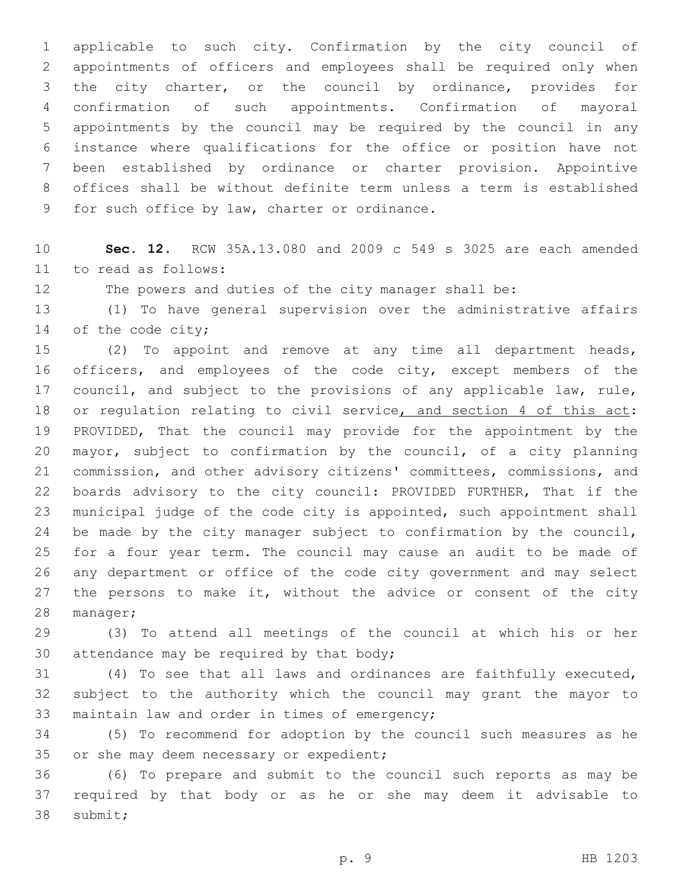applicable to such city. Confirmation by the city council of appointments of officers and employees shall be required only when the city charter, or the council by ordinance, provides for confirmation of such appointments. Confirmation of mayoral appointments by the council may be required by the council in any instance where qualifications for the office or position have not been established by ordinance or charter provision. Appointive offices shall be without definite term unless a term is established 9 for such office by law, charter or ordinance.

 **Sec. 12.** RCW 35A.13.080 and 2009 c 549 s 3025 are each amended 11 to read as follows:

The powers and duties of the city manager shall be:

 (1) To have general supervision over the administrative affairs 14 of the code city;

 (2) To appoint and remove at any time all department heads, officers, and employees of the code city, except members of the council, and subject to the provisions of any applicable law, rule, 18 or regulation relating to civil service, and section 4 of this act: PROVIDED, That the council may provide for the appointment by the mayor, subject to confirmation by the council, of a city planning commission, and other advisory citizens' committees, commissions, and boards advisory to the city council: PROVIDED FURTHER, That if the municipal judge of the code city is appointed, such appointment shall 24 be made by the city manager subject to confirmation by the council, for a four year term. The council may cause an audit to be made of any department or office of the code city government and may select 27 the persons to make it, without the advice or consent of the city 28 manager;

 (3) To attend all meetings of the council at which his or her 30 attendance may be required by that body;

 (4) To see that all laws and ordinances are faithfully executed, subject to the authority which the council may grant the mayor to 33 maintain law and order in times of emergency;

 (5) To recommend for adoption by the council such measures as he 35 or she may deem necessary or expedient;

 (6) To prepare and submit to the council such reports as may be required by that body or as he or she may deem it advisable to 38 submit;